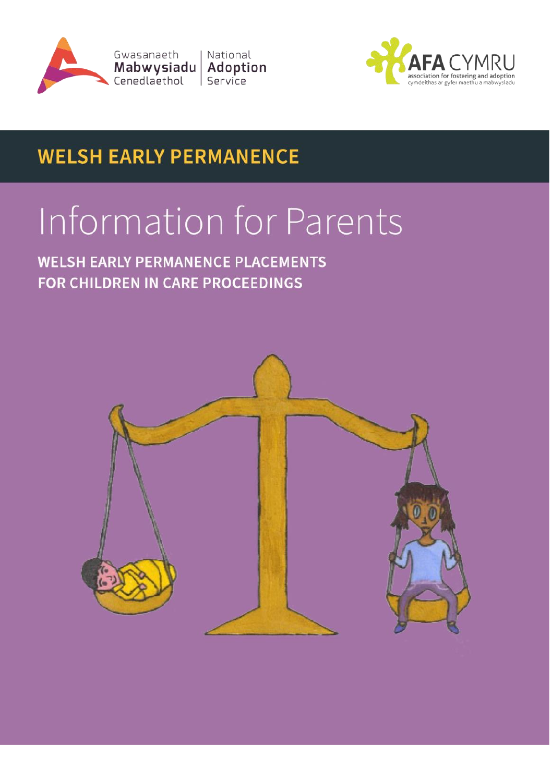



## **WELSH EARLY PERMANENCE**

# **Information for Parents**

**WELSH EARLY PERMANENCE PLACEMENTS** FOR CHILDREN IN CARE PROCEEDINGS

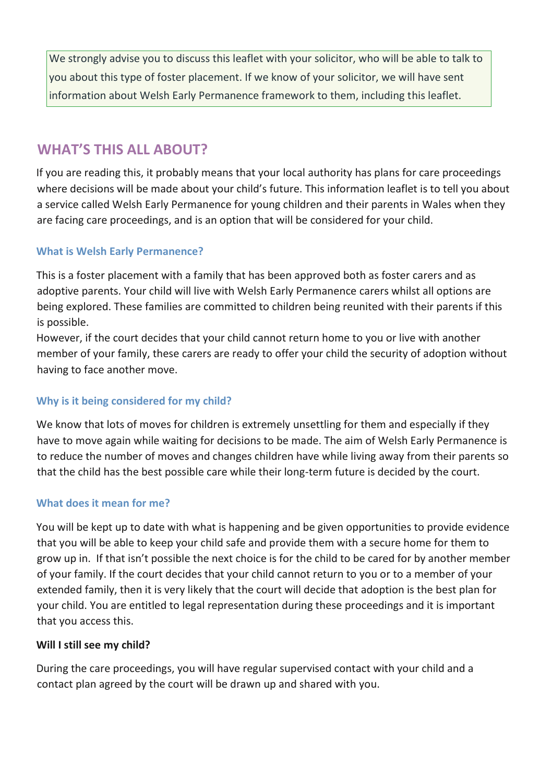We strongly advise you to discuss this leaflet with your solicitor, who will be able to talk to you about this type of foster placement. If we know of your solicitor, we will have sent information about Welsh Early Permanence framework to them, including this leaflet.

### **WHAT'S THIS ALL ABOUT?**

If you are reading this, it probably means that your local authority has plans for care proceedings where decisions will be made about your child's future. This information leaflet is to tell you about a service called Welsh Early Permanence for young children and their parents in Wales when they are facing care proceedings, and is an option that will be considered for your child.

#### **What is Welsh Early Permanence?**

This is a foster placement with a family that has been approved both as foster carers and as adoptive parents. Your child will live with Welsh Early Permanence carers whilst all options are being explored. These families are committed to children being reunited with their parents if this is possible.

However, if the court decides that your child cannot return home to you or live with another member of your family, these carers are ready to offer your child the security of adoption without having to face another move.

#### **Why is it being considered for my child?**

We know that lots of moves for children is extremely unsettling for them and especially if they have to move again while waiting for decisions to be made. The aim of Welsh Early Permanence is to reduce the number of moves and changes children have while living away from their parents so that the child has the best possible care while their long-term future is decided by the court.

#### **What does it mean for me?**

You will be kept up to date with what is happening and be given opportunities to provide evidence that you will be able to keep your child safe and provide them with a secure home for them to grow up in. If that isn't possible the next choice is for the child to be cared for by another member of your family. If the court decides that your child cannot return to you or to a member of your extended family, then it is very likely that the court will decide that adoption is the best plan for your child. You are entitled to legal representation during these proceedings and it is important that you access this.

#### **Will I still see my child?**

During the care proceedings, you will have regular supervised contact with your child and a contact plan agreed by the court will be drawn up and shared with you.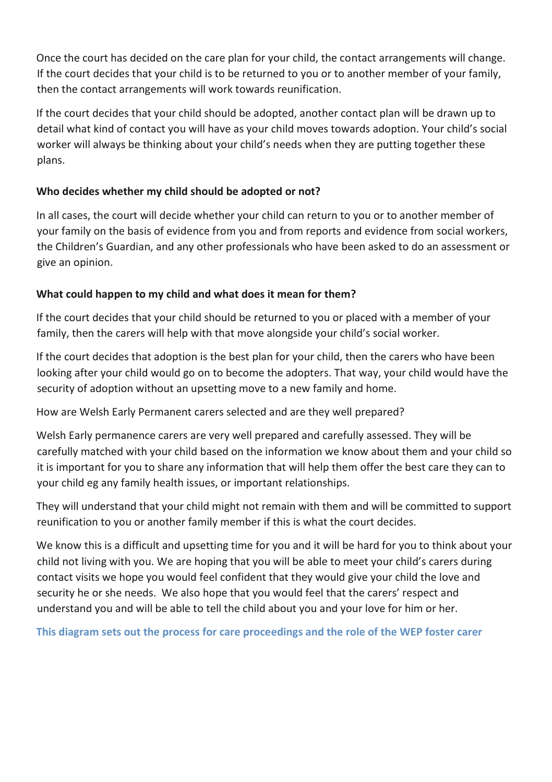Once the court has decided on the care plan for your child, the contact arrangements will change. If the court decides that your child is to be returned to you or to another member of your family, then the contact arrangements will work towards reunification.

If the court decides that your child should be adopted, another contact plan will be drawn up to detail what kind of contact you will have as your child moves towards adoption. Your child's social worker will always be thinking about your child's needs when they are putting together these plans.

#### **Who decides whether my child should be adopted or not?**

In all cases, the court will decide whether your child can return to you or to another member of your family on the basis of evidence from you and from reports and evidence from social workers, the Children's Guardian, and any other professionals who have been asked to do an assessment or give an opinion.

#### **What could happen to my child and what does it mean for them?**

If the court decides that your child should be returned to you or placed with a member of your family, then the carers will help with that move alongside your child's social worker.

If the court decides that adoption is the best plan for your child, then the carers who have been looking after your child would go on to become the adopters. That way, your child would have the security of adoption without an upsetting move to a new family and home.

How are Welsh Early Permanent carers selected and are they well prepared?

Welsh Early permanence carers are very well prepared and carefully assessed. They will be carefully matched with your child based on the information we know about them and your child so it is important for you to share any information that will help them offer the best care they can to your child eg any family health issues, or important relationships.

They will understand that your child might not remain with them and will be committed to support reunification to you or another family member if this is what the court decides.

We know this is a difficult and upsetting time for you and it will be hard for you to think about your child not living with you. We are hoping that you will be able to meet your child's carers during contact visits we hope you would feel confident that they would give your child the love and security he or she needs. We also hope that you would feel that the carers' respect and understand you and will be able to tell the child about you and your love for him or her.

**This diagram sets out the process for care proceedings and the role of the WEP foster carer**